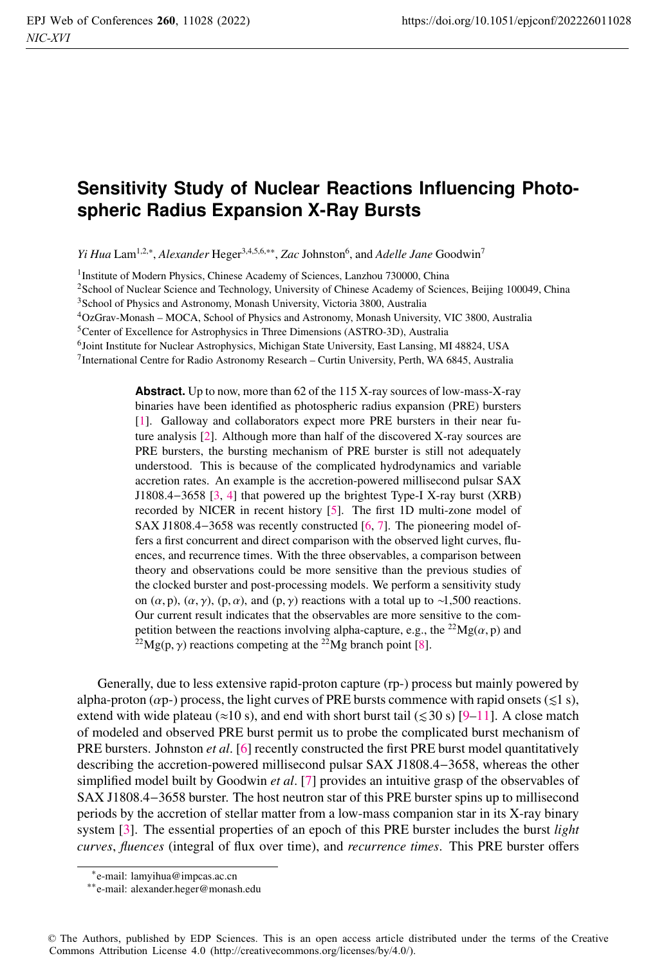## **Sensitivity Study of Nuclear Reactions Influencing Photospheric Radius Expansion X-Ray Bursts**

*Yi Hua Lam<sup>1,2,∗</sup>, Alexander Heger<sup>3,4,5,6,</sup>\*\*, <i>Zac Johnston<sup>6</sup>, and Adelle Jane* Goodwin<sup>7</sup>

<sup>1</sup> Institute of Modern Physics, Chinese Academy of Sciences, Lanzhou 730000, China

<sup>2</sup>School of Nuclear Science and Technology, University of Chinese Academy of Sciences, Beijing 100049, China

<sup>3</sup>School of Physics and Astronomy, Monash University, Victoria 3800, Australia

<sup>4</sup>OzGrav-Monash – MOCA, School of Physics and Astronomy, Monash University, VIC 3800, Australia

<sup>5</sup>Center of Excellence for Astrophysics in Three Dimensions (ASTRO-3D), Australia

<sup>6</sup>Joint Institute for Nuclear Astrophysics, Michigan State University, East Lansing, MI 48824, USA

7 International Centre for Radio Astronomy Research – Curtin University, Perth, WA 6845, Australia

Abstract. Up to now, more than 62 of the 115 X-ray sources of low-mass-X-ray binaries have been identified as photospheric radius expansion (PRE) bursters [1]. Galloway and collaborators expect more PRE bursters in their near future analysis [2]. Although more than half of the discovered X-ray sources are PRE bursters, the bursting mechanism of PRE burster is still not adequately understood. This is because of the complicated hydrodynamics and variable accretion rates. An example is the accretion-powered millisecond pulsar SAX J1808.4−3658 [3, 4] that powered up the brightest Type-I X-ray burst (XRB) recorded by NICER in recent history [5]. The first 1D multi-zone model of SAX J1808.4−3658 was recently constructed [6, 7]. The pioneering model offers a first concurrent and direct comparison with the observed light curves, fluences, and recurrence times. With the three observables, a comparison between theory and observations could be more sensitive than the previous studies of the clocked burster and post-processing models. We perform a sensitivity study on  $(\alpha, p)$ ,  $(\alpha, \gamma)$ ,  $(p, \alpha)$ , and  $(p, \gamma)$  reactions with a total up to ~1,500 reactions. Our current result indicates that the observables are more sensitive to the competition between the reactions involving alpha-capture, e.g., the <sup>22</sup>Mg( $\alpha$ , p) and <sup>22</sup>Mg(p,  $\gamma$ ) reactions competing at the <sup>22</sup>Mg branch point [8].

Generally, due to less extensive rapid-proton capture (rp-) process but mainly powered by alpha-proton  $(ap-)$  process, the light curves of PRE bursts commence with rapid onsets ( $\leq 1$  s), extend with wide plateau ( $\approx$ 10 s), and end with short burst tail ( $\leq$ 30 s) [9–11]. A close match of modeled and observed PRE burst permit us to probe the complicated burst mechanism of PRE bursters. Johnston *et al*. [6] recently constructed the first PRE burst model quantitatively describing the accretion-powered millisecond pulsar SAX J1808.4−3658, whereas the other simplified model built by Goodwin *et al*. [7] provides an intuitive grasp of the observables of SAX J1808.4−3658 burster. The host neutron star of this PRE burster spins up to millisecond periods by the accretion of stellar matter from a low-mass companion star in its X-ray binary system [3]. The essential properties of an epoch of this PRE burster includes the burst *light curves*, *fluences* (integral of flux over time), and *recurrence times*. This PRE burster offers

<sup>∗</sup>e-mail: lamyihua@impcas.ac.cn

<sup>∗∗</sup>e-mail: alexander.heger@monash.edu

<sup>©</sup> The Authors, published by EDP Sciences. This is an open access article distributed under the terms of the Creative Commons Attribution License 4.0 (http://creativecommons.org/licenses/by/4.0/).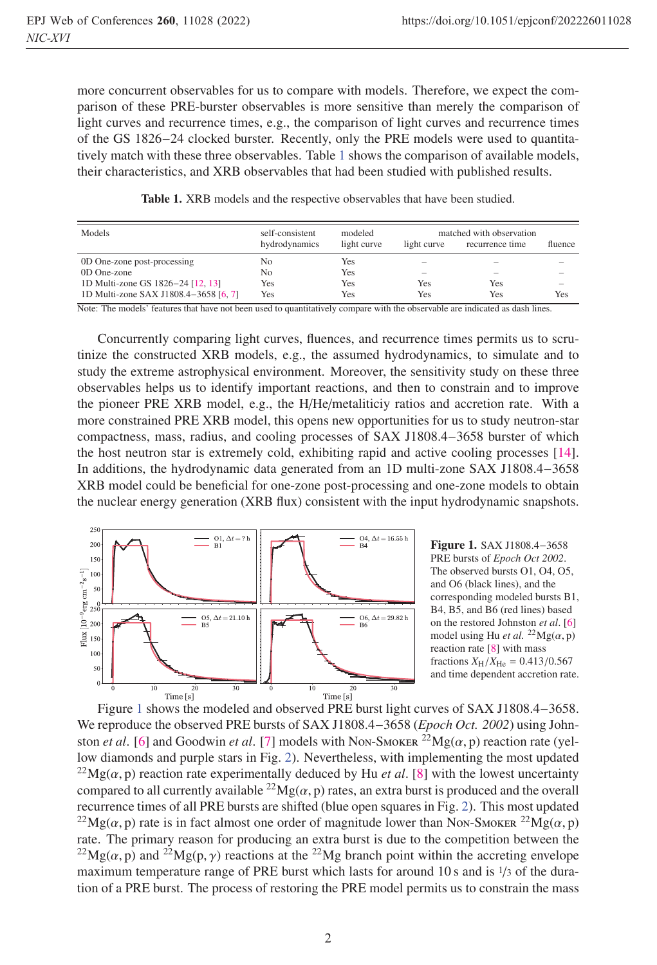more concurrent observables for us to compare with models. Therefore, we expect the comparison of these PRE-burster observables is more sensitive than merely the comparison of light curves and recurrence times, e.g., the comparison of light curves and recurrence times of the GS 1826−24 clocked burster. Recently, only the PRE models were used to quantitatively match with these three observables. Table 1 shows the comparison of available models, their characteristics, and XRB observables that had been studied with published results.

|  |  | Table 1. XRB models and the respective observables that have been studied. |  |  |
|--|--|----------------------------------------------------------------------------|--|--|
|  |  |                                                                            |  |  |

| Models                                | self-consistent | modeled     | matched with observation |                 |         |
|---------------------------------------|-----------------|-------------|--------------------------|-----------------|---------|
|                                       | hydrodynamics   | light curve | light curve              | recurrence time | fluence |
| 0D One-zone post-processing           | No              | Yes         | -                        | -               |         |
| $OD$ One-zone                         | No              | Yes         | -                        | -               |         |
| 1D Multi-zone GS 1826-24 [12, 13]     | Yes             | Yes         | Yes                      | Yes             |         |
| 1D Multi-zone SAX J1808.4-3658 [6, 7] | Yes             | <b>Yes</b>  | Yes                      | Yes             | Yes     |

Note: The models' features that have not been used to quantitatively compare with the observable are indicated as dash lines.

Concurrently comparing light curves, fluences, and recurrence times permits us to scrutinize the constructed XRB models, e.g., the assumed hydrodynamics, to simulate and to study the extreme astrophysical environment. Moreover, the sensitivity study on these three observables helps us to identify important reactions, and then to constrain and to improve the pioneer PRE XRB model, e.g., the H/He/metaliticiy ratios and accretion rate. With a more constrained PRE XRB model, this opens new opportunities for us to study neutron-star compactness, mass, radius, and cooling processes of SAX J1808.4−3658 burster of which the host neutron star is extremely cold, exhibiting rapid and active cooling processes [14]. In additions, the hydrodynamic data generated from an 1D multi-zone SAX J1808.4−3658 XRB model could be beneficial for one-zone post-processing and one-zone models to obtain the nuclear energy generation (XRB flux) consistent with the input hydrodynamic snapshots.



Figure 1. SAX J1808.4−<sup>3658</sup> PRE bursts of *Epoch Oct 2002*. The observed bursts O1, O4, O5, and O6 (black lines), and the corresponding modeled bursts B1, B4, B5, and B6 (red lines) based on the restored Johnston *et al*. [6] model using Hu *et al.* <sup>22</sup>Mg( $\alpha$ , p) reaction rate [8] with mass fractions  $X_{\rm H}/X_{\rm He} = 0.413/0.567$ and time dependent accretion rate.

Figure 1 shows the modeled and observed PRE burst light curves of SAX J1808.4−3658. We reproduce the observed PRE bursts of SAX J1808.4−3658 (*Epoch Oct. 2002*) using Johnston *et al.* [6] and Goodwin *et al.* [7] models with Non-Smoker  $^{22}Mg(\alpha, p)$  reaction rate (yellow diamonds and purple stars in Fig. 2). Nevertheless, with implementing the most updated  $^{22}Mg(\alpha, p)$  reaction rate experimentally deduced by Hu *et al.* [8] with the lowest uncertainty compared to all currently available  ${}^{22}Mg(\alpha, p)$  rates, an extra burst is produced and the overall recurrence times of all PRE bursts are shifted (blue open squares in Fig. 2). This most updated <sup>22</sup>Mg( $\alpha$ , p) rate is in fact almost one order of magnitude lower than Non-Smoker <sup>22</sup>Mg( $\alpha$ , p) rate. The primary reason for producing an extra burst is due to the competition between the <sup>22</sup>Mg( $\alpha$ , p) and <sup>22</sup>Mg( $p$ ,  $\gamma$ ) reactions at the <sup>22</sup>Mg branch point within the accreting envelope maximum temperature range of PRE burst which lasts for around 10 s and is <sup>1</sup>/<sup>3</sup> of the duration of a PRE burst. The process of restoring the PRE model permits us to constrain the mass